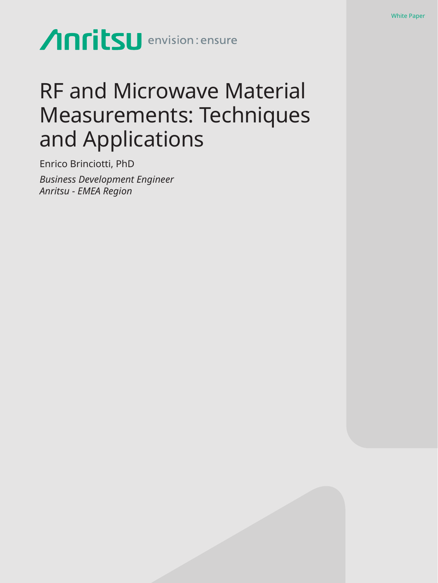# Anritsu envision: ensure

## RF and Microwave Material Measurements: Techniques and Applications

Enrico Brinciotti, PhD *Business Development Engineer Anritsu - EMEA Region*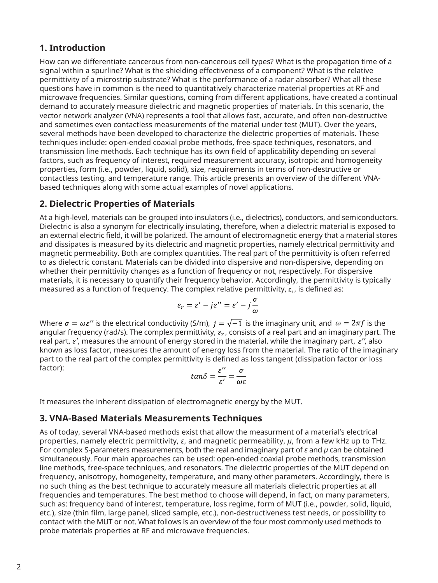## **1. Introduction**

How can we differentiate cancerous from non-cancerous cell types? What is the propagation time of a signal within a spurline? What is the shielding effectiveness of a component? What is the relative permittivity of a microstrip substrate? What is the performance of a radar absorber? What all these questions have in common is the need to quantitatively characterize material properties at RF and microwave frequencies. Similar questions, coming from different applications, have created a continual demand to accurately measure dielectric and magnetic properties of materials. In this scenario, the vector network analyzer (VNA) represents a tool that allows fast, accurate, and often non-destructive and sometimes even contactless measurements of the material under test (MUT). Over the years, several methods have been developed to characterize the dielectric properties of materials. These techniques include: open-ended coaxial probe methods, free-space techniques, resonators, and transmission line methods. Each technique has its own field of applicability depending on several factors, such as frequency of interest, required measurement accuracy, isotropic and homogeneity properties, form (i.e., powder, liquid, solid), size, requirements in terms of non-destructive or contactless testing, and temperature range. This article presents an overview of the different VNAbased techniques along with some actual examples of novel applications.

## **2. Dielectric Properties of Materials**

At a high-level, materials can be grouped into insulators (i.e., dielectrics), conductors, and semiconductors. Dielectric is also a synonym for electrically insulating, therefore, when a dielectric material is exposed to an external electric field, it will be polarized. The amount of electromagnetic energy that a material stores and dissipates is measured by its dielectric and magnetic properties, namely electrical permittivity and magnetic permeability. Both are complex quantities. The real part of the permittivity is often referred to as dielectric constant. Materials can be divided into dispersive and non-dispersive, depending on whether their permittivity changes as a function of frequency or not, respectively. For dispersive materials, it is necessary to quantify their frequency behavior. Accordingly, the permittivity is typically measured as a function of frequency. The complex relative permittivity,  $\varepsilon_r$ , is defined as:

$$
\varepsilon_r = \varepsilon' - j\varepsilon'' = \varepsilon' - j\frac{\sigma}{\omega}
$$

Where  $\sigma = \omega \varepsilon''$  is the electrical conductivity (S/m),  $i = \sqrt{-1}$  is the imaginary unit, and  $\omega = 2\pi f$  is the angular frequency (rad/s). The complex permittivity,  $\varepsilon_r$ , consists of a real part and an imaginary part. The real part,  $\varepsilon'$ , measures the amount of energy stored in the material, while the imaginary part,  $\varepsilon''$ , also known as loss factor, measures the amount of energy loss from the material. The ratio of the imaginary part to the real part of the complex permittivity is defined as loss tangent (dissipation factor or loss factor):

$$
tan\delta = \frac{\varepsilon^{\prime\prime}}{\varepsilon^{\prime}} = \frac{\sigma}{\omega\varepsilon}
$$

It measures the inherent dissipation of electromagnetic energy by the MUT.

## **3. VNA-Based Materials Measurements Techniques**

As of today, several VNA-based methods exist that allow the measurment of a material's electrical properties, namely electric permittivity, *ε*, and magnetic permeability, *µ*, from a few kHz up to THz. For complex S-parameters measurements, both the real and imaginary part of *ε* and *µ* can be obtained simultaneously. Four main approaches can be used: open-ended coaxial probe methods, transmission line methods, free-space techniques, and resonators. The dielectric properties of the MUT depend on frequency, anisotropy, homogeneity, temperature, and many other parameters. Accordingly, there is no such thing as the best technique to accurately measure all materials dielectric properties at all frequencies and temperatures. The best method to choose will depend, in fact, on many parameters, such as: frequency band of interest, temperature, loss regime, form of MUT (i.e., powder, solid, liquid, etc.), size (thin film, large panel, sliced sample, etc.), non-destructiveness test needs, or possibility to contact with the MUT or not. What follows is an overview of the four most commonly used methods to probe materials properties at RF and microwave frequencies.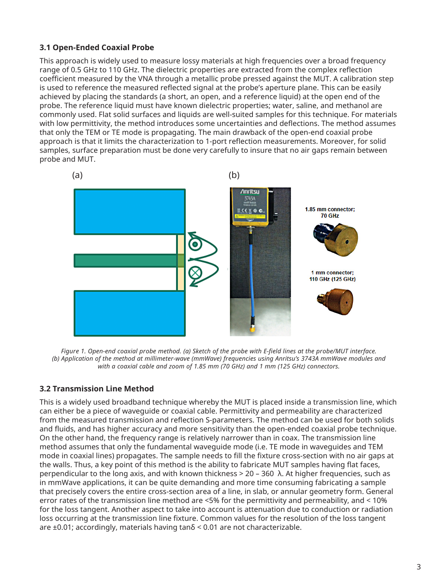## **3.1 Open-Ended Coaxial Probe**

This approach is widely used to measure lossy materials at high frequencies over a broad frequency range of 0.5 GHz to 110 GHz. The dielectric properties are extracted from the complex reflection coefficient measured by the VNA through a metallic probe pressed against the MUT. A calibration step is used to reference the measured reflected signal at the probe's aperture plane. This can be easily achieved by placing the standards (a short, an open, and a reference liquid) at the open end of the probe. The reference liquid must have known dielectric properties; water, saline, and methanol are commonly used. Flat solid surfaces and liquids are well-suited samples for this technique. For materials with low permittivity, the method introduces some uncertainties and deflections. The method assumes that only the TEM or TE mode is propagating. The main drawback of the open-end coaxial probe approach is that it limits the characterization to 1-port reflection measurements. Moreover, for solid samples, surface preparation must be done very carefully to insure that no air gaps remain between probe and MUT.



*Figure 1. Open-end coaxial probe method. (a) Sketch of the probe with E-field lines at the probe/MUT interface. (b) Application of the method at millimeter-wave (mmWave) frequencies using Anritsu's 3743A mmWave modules and with a coaxial cable and zoom of 1.85 mm (70 GHz) and 1 mm (125 GHz) connectors.*

## **3.2 Transmission Line Method**

This is a widely used broadband technique whereby the MUT is placed inside a transmission line, which can either be a piece of waveguide or coaxial cable. Permittivity and permeability are characterized from the measured transmission and reflection S-parameters. The method can be used for both solids and fluids, and has higher accuracy and more sensitivity than the open-ended coaxial probe technique. On the other hand, the frequency range is relatively narrower than in coax. The transmission line method assumes that only the fundamental waveguide mode (i.e. TE mode in waveguides and TEM mode in coaxial lines) propagates. The sample needs to fill the fixture cross-section with no air gaps at the walls. Thus, a key point of this method is the ability to fabricate MUT samples having flat faces, perpendicular to the long axis, and with known thickness > 20 – 360 λ. At higher frequencies, such as in mmWave applications, it can be quite demanding and more time consuming fabricating a sample that precisely covers the entire cross-section area of a line, in slab, or annular geometry form. General error rates of the transmission line method are <5% for the permittivity and permeability, and < 10% for the loss tangent. Another aspect to take into account is attenuation due to conduction or radiation loss occurring at the transmission line fixture. Common values for the resolution of the loss tangent are  $\pm 0.01$ ; accordingly, materials having tan $\delta$  < 0.01 are not characterizable.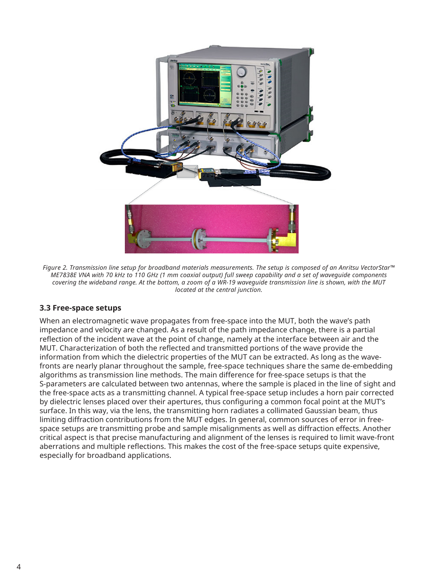

*Figure 2. Transmission line setup for broadband materials measurements. The setup is composed of an Anritsu VectorStar™ ME7838E VNA with 70 kHz to 110 GHz (1 mm coaxial output) full sweep capability and a set of waveguide components covering the wideband range. At the bottom, a zoom of a WR-19 waveguide transmission line is shown, with the MUT located at the central junction.* 

## **3.3 Free-space setups**

When an electromagnetic wave propagates from free-space into the MUT, both the wave's path impedance and velocity are changed. As a result of the path impedance change, there is a partial reflection of the incident wave at the point of change, namely at the interface between air and the MUT. Characterization of both the reflected and transmitted portions of the wave provide the information from which the dielectric properties of the MUT can be extracted. As long as the wavefronts are nearly planar throughout the sample, free-space techniques share the same de-embedding algorithms as transmission line methods. The main difference for free-space setups is that the S-parameters are calculated between two antennas, where the sample is placed in the line of sight and the free-space acts as a transmitting channel. A typical free-space setup includes a horn pair corrected by dielectric lenses placed over their apertures, thus configuring a common focal point at the MUT's surface. In this way, via the lens, the transmitting horn radiates a collimated Gaussian beam, thus limiting diffraction contributions from the MUT edges. In general, common sources of error in freespace setups are transmitting probe and sample misalignments as well as diffraction effects. Another critical aspect is that precise manufacturing and alignment of the lenses is required to limit wave-front aberrations and multiple reflections. This makes the cost of the free-space setups quite expensive, especially for broadband applications.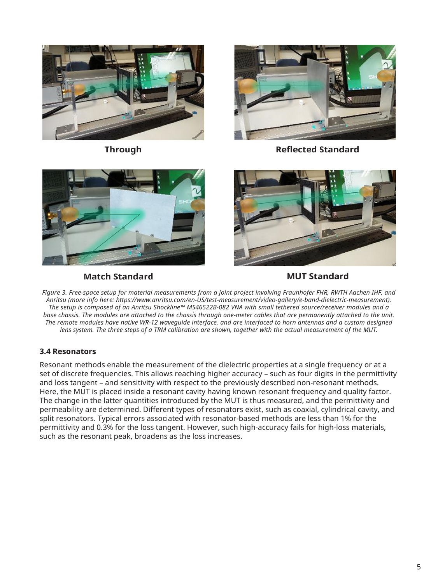

**Through** 



**Reflected Standard** 



**Match Standard** 



**MUT Standard** 

*Figure 3. Free-space setup for material measurements from a joint project involving Fraunhofer FHR, RWTH Aachen IHF, and Anritsu (more info here: https://www.anritsu.com/en-US/test-measurement/video-gallery/e-band-dielectric-measurement). The setup is composed of an Anritsu Shockline™ MS46522B-082 VNA with small tethered source/receiver modules and a base chassis. The modules are attached to the chassis through one-meter cables that are permanently attached to the unit. The remote modules have native WR-12 waveguide interface, and are interfaced to horn antennas and a custom designed lens system. The three steps of a TRM calibration are shown, together with the actual measurement of the MUT.*

## **3.4 Resonators**

Resonant methods enable the measurement of the dielectric properties at a single frequency or at a set of discrete frequencies. This allows reaching higher accuracy – such as four digits in the permittivity and loss tangent – and sensitivity with respect to the previously described non-resonant methods. Here, the MUT is placed inside a resonant cavity having known resonant frequency and quality factor. The change in the latter quantities introduced by the MUT is thus measured, and the permittivity and permeability are determined. Different types of resonators exist, such as coaxial, cylindrical cavity, and split resonators. Typical errors associated with resonator-based methods are less than 1% for the permittivity and 0.3% for the loss tangent. However, such high-accuracy fails for high-loss materials, such as the resonant peak, broadens as the loss increases.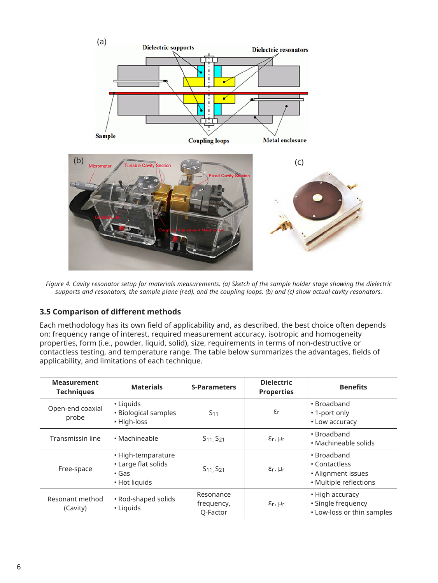

*Figure 4. Cavity resonator setup for materials measurements. (a) Sketch of the sample holder stage showing the dielectric supports and resonators, the sample plane (red), and the coupling loops. (b) and (c) show actual cavity resonators.* 

## **3.5 Comparison of different methods**

Each methodology has its own field of applicability and, as described, the best choice often depends on: frequency range of interest, required measurement accuracy, isotropic and homogeneity properties, form (i.e., powder, liquid, solid), size, requirements in terms of non-destructive or contactless testing, and temperature range. The table below summarizes the advantages, fields of applicability, and limitations of each technique.

| <b>Measurement</b><br><b>Techniques</b> | <b>Materials</b>                                                          | <b>S-Parameters</b>                 | <b>Dielectric</b><br><b>Properties</b> | <b>Benefits</b>                                                              |
|-----------------------------------------|---------------------------------------------------------------------------|-------------------------------------|----------------------------------------|------------------------------------------------------------------------------|
| Open-end coaxial<br>probe               | • Liquids<br>• Biological samples<br>• High-loss                          | S <sub>11</sub>                     | $\varepsilon$ r                        | • Broadband<br>• 1-port only<br>• Low accuracy                               |
| Transmissin line                        | • Machineable                                                             | S <sub>11</sub> , S <sub>21</sub>   | $\epsilon_r$ , $\mu_r$                 | • Broadband<br>• Machineable solids                                          |
| Free-space                              | • High-temparature<br>• Large flat solids<br>$\cdot$ Gas<br>• Hot liquids | S <sub>11</sub> , S <sub>21</sub>   | $\varepsilon$ r, µr                    | • Broadband<br>• Contactless<br>• Alignment issues<br>· Multiple reflections |
| Resonant method<br>(Cavity)             | • Rod-shaped solids<br>• Liquids                                          | Resonance<br>frequency,<br>Q-Factor | $E_r$ , $\mu_r$                        | • High accuracy<br>· Single frequency<br>• Low-loss or thin samples          |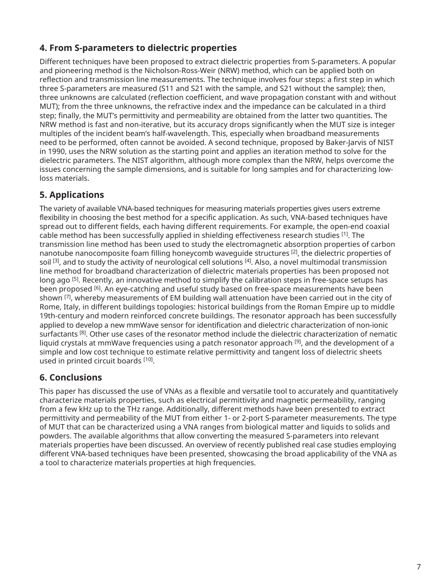## **4. From S-parameters to dielectric properties**

Different techniques have been proposed to extract dielectric properties from S-parameters. A popular and pioneering method is the Nicholson-Ross-Weir (NRW) method, which can be applied both on reflection and transmission line measurements. The technique involves four steps: a first step in which three S-parameters are measured (S11 and S21 with the sample, and S21 without the sample); then, three unknowns are calculated (reflection coefficient, and wave propagation constant with and without MUT); from the three unknowns, the refractive index and the impedance can be calculated in a third step; finally, the MUT's permittivity and permeability are obtained from the latter two quantities. The NRW method is fast and non-iterative, but its accuracy drops significantly when the MUT size is integer multiples of the incident beam's half-wavelength. This, especially when broadband measurements need to be performed, often cannot be avoided. A second technique, proposed by Baker-Jarvis of NIST in 1990, uses the NRW solution as the starting point and applies an iteration method to solve for the dielectric parameters. The NIST algorithm, although more complex than the NRW, helps overcome the issues concerning the sample dimensions, and is suitable for long samples and for characterizing lowloss materials.

## **5. Applications**

The variety of available VNA-based techniques for measuring materials properties gives users extreme flexibility in choosing the best method for a specific application. As such, VNA-based techniques have spread out to different fields, each having different requirements. For example, the open-end coaxial cable method has been successfully applied in shielding effectiveness research studies [1]. The transmission line method has been used to study the electromagnetic absorption properties of carbon nanotube nanocomposite foam filling honeycomb waveguide structures [2], the dielectric properties of soil <sup>[3]</sup>, and to study the activity of neurological cell solutions <sup>[4]</sup>. Also, a novel multimodal transmission line method for broadband characterization of dielectric materials properties has been proposed not long ago [5]. Recently, an innovative method to simplify the calibration steps in free-space setups has been proposed [6]. An eye-catching and useful study based on free-space measurements have been shown [7], whereby measurements of EM building wall attenuation have been carried out in the city of Rome, Italy, in different buildings topologies: historical buildings from the Roman Empire up to middle 19th-century and modern reinforced concrete buildings. The resonator approach has been successfully applied to develop a new mmWave sensor for identification and dielectric characterization of non-ionic surfactants <sup>[8]</sup>. Other use cases of the resonator method include the dielectric characterization of nematic liquid crystals at mmWave frequencies using a patch resonator approach  $[9]$ , and the development of a simple and low cost technique to estimate relative permittivity and tangent loss of dielectric sheets used in printed circuit boards [10].

## **6. Conclusions**

This paper has discussed the use of VNAs as a flexible and versatile tool to accurately and quantitatively characterize materials properties, such as electrical permittivity and magnetic permeability, ranging from a few kHz up to the THz range. Additionally, different methods have been presented to extract permittivity and permeability of the MUT from either 1- or 2-port S-parameter measurements. The type of MUT that can be characterized using a VNA ranges from biological matter and liquids to solids and powders. The available algorithms that allow converting the measured S-parameters into relevant materials properties have been discussed. An overview of recently published real case studies employing different VNA-based techniques have been presented, showcasing the broad applicability of the VNA as a tool to characterize materials properties at high frequencies.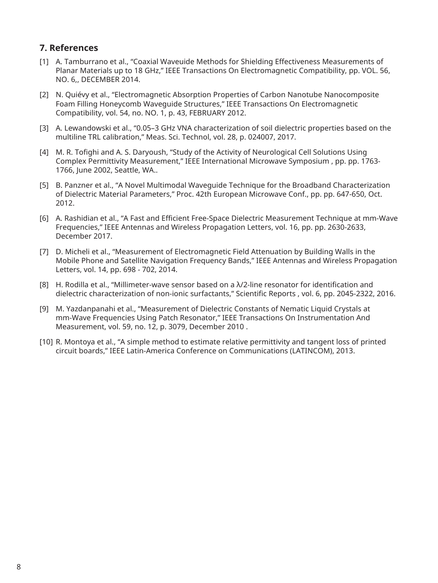## **7. References**

- [1] A. Tamburrano et al., "Coaxial Waveuide Methods for Shielding Effectiveness Measurements of Planar Materials up to 18 GHz," IEEE Transactions On Electromagnetic Compatibility, pp. VOL. 56, NO. 6,, DECEMBER 2014.
- [2] N. Quiévy et al., "Electromagnetic Absorption Properties of Carbon Nanotube Nanocomposite Foam Filling Honeycomb Waveguide Structures," IEEE Transactions On Electromagnetic Compatibility, vol. 54, no. NO. 1, p. 43, FEBRUARY 2012.
- [3] A. Lewandowski et al., "0.05–3 GHz VNA characterization of soil dielectric properties based on the multiline TRL calibration," Meas. Sci. Technol, vol. 28, p. 024007, 2017.
- [4] M. R. Tofighi and A. S. Daryoush, "Study of the Activity of Neurological Cell Solutions Using Complex Permittivity Measurement," IEEE International Microwave Symposium , pp. pp. 1763- 1766, June 2002, Seattle, WA..
- [5] B. Panzner et al., "A Novel Multimodal Waveguide Technique for the Broadband Characterization of Dielectric Material Parameters," Proc. 42th European Microwave Conf., pp. pp. 647-650, Oct. 2012.
- [6] A. Rashidian et al., "A Fast and Efficient Free-Space Dielectric Measurement Technique at mm-Wave Frequencies," IEEE Antennas and Wireless Propagation Letters, vol. 16, pp. pp. 2630-2633, December 2017.
- [7] D. Micheli et al., "Measurement of Electromagnetic Field Attenuation by Building Walls in the Mobile Phone and Satellite Navigation Frequency Bands," IEEE Antennas and Wireless Propagation Letters, vol. 14, pp. 698 - 702, 2014.
- [8] H. Rodilla et al., "Millimeter-wave sensor based on a λ/2-line resonator for identification and dielectric characterization of non-ionic surfactants," Scientific Reports , vol. 6, pp. 2045-2322, 2016.
- [9] M. Yazdanpanahi et al., "Measurement of Dielectric Constants of Nematic Liquid Crystals at mm-Wave Frequencies Using Patch Resonator," IEEE Transactions On Instrumentation And Measurement, vol. 59, no. 12, p. 3079, December 2010 .
- [10] R. Montoya et al., "A simple method to estimate relative permittivity and tangent loss of printed circuit boards," IEEE Latin-America Conference on Communications (LATINCOM), 2013.